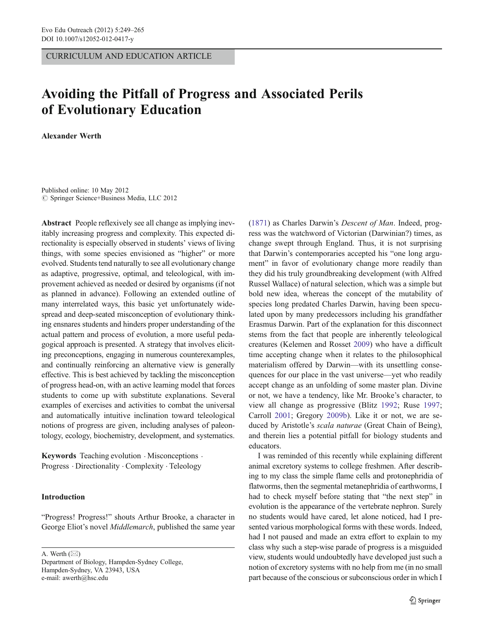CURRICULUM AND EDUCATION ARTICLE

# Avoiding the Pitfall of Progress and Associated Perils of Evolutionary Education

Alexander Werth

Published online: 10 May 2012  $©$  Springer Science+Business Media, LLC 2012

Abstract People reflexively see all change as implying inevitably increasing progress and complexity. This expected directionality is especially observed in students' views of living things, with some species envisioned as "higher" or more evolved. Students tend naturally to see all evolutionary change as adaptive, progressive, optimal, and teleological, with improvement achieved as needed or desired by organisms (if not as planned in advance). Following an extended outline of many interrelated ways, this basic yet unfortunately widespread and deep-seated misconception of evolutionary thinking ensnares students and hinders proper understanding of the actual pattern and process of evolution, a more useful pedagogical approach is presented. A strategy that involves eliciting preconceptions, engaging in numerous counterexamples, and continually reinforcing an alternative view is generally effective. This is best achieved by tackling the misconception of progress head-on, with an active learning model that forces students to come up with substitute explanations. Several examples of exercises and activities to combat the universal and automatically intuitive inclination toward teleological notions of progress are given, including analyses of paleontology, ecology, biochemistry, development, and systematics.

Keywords Teaching evolution . Misconceptions . Progress . Directionality . Complexity . Teleology

## Introduction

"Progress! Progress!" shouts Arthur Brooke, a character in George Eliot's novel Middlemarch, published the same year

A. Werth  $(\boxtimes)$ Department of Biology, Hampden-Sydney College, Hampden-Sydney, VA 23943, USA e-mail: awerth@hsc.edu

[\(1871](#page-15-0)) as Charles Darwin's Descent of Man. Indeed, progress was the watchword of Victorian (Darwinian?) times, as change swept through England. Thus, it is not surprising that Darwin's contemporaries accepted his "one long argument" in favor of evolutionary change more readily than they did his truly groundbreaking development (with Alfred Russel Wallace) of natural selection, which was a simple but bold new idea, whereas the concept of the mutability of species long predated Charles Darwin, having been speculated upon by many predecessors including his grandfather Erasmus Darwin. Part of the explanation for this disconnect stems from the fact that people are inherently teleological creatures (Kelemen and Rosset [2009](#page-15-0)) who have a difficult time accepting change when it relates to the philosophical materialism offered by Darwin—with its unsettling consequences for our place in the vast universe—yet who readily accept change as an unfolding of some master plan. Divine or not, we have a tendency, like Mr. Brooke's character, to view all change as progressive (Blitz [1992](#page-14-0); Ruse [1997;](#page-16-0) Carroll [2001](#page-14-0); Gregory [2009b](#page-15-0)). Like it or not, we are seduced by Aristotle's scala naturae (Great Chain of Being), and therein lies a potential pitfall for biology students and educators.

I was reminded of this recently while explaining different animal excretory systems to college freshmen. After describing to my class the simple flame cells and protonephridia of flatworms, then the segmental metanephridia of earthworms, I had to check myself before stating that "the next step" in evolution is the appearance of the vertebrate nephron. Surely no students would have cared, let alone noticed, had I presented various morphological forms with these words. Indeed, had I not paused and made an extra effort to explain to my class why such a step-wise parade of progress is a misguided view, students would undoubtedly have developed just such a notion of excretory systems with no help from me (in no small part because of the conscious or subconscious order in which I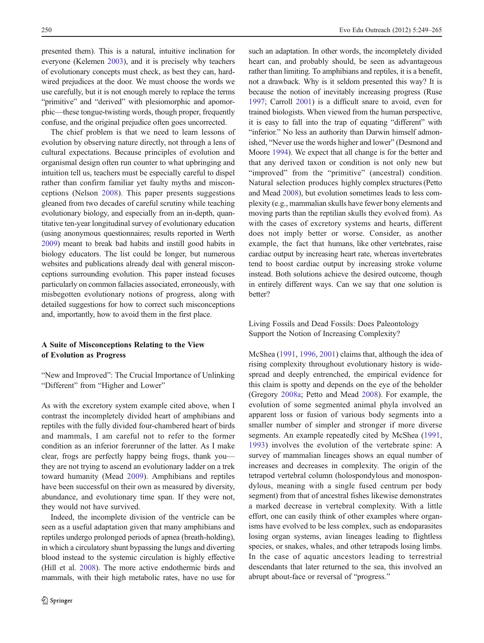presented them). This is a natural, intuitive inclination for everyone (Kelemen [2003\)](#page-15-0), and it is precisely why teachers of evolutionary concepts must check, as best they can, hardwired prejudices at the door. We must choose the words we use carefully, but it is not enough merely to replace the terms "primitive" and "derived" with plesiomorphic and apomorphic—these tongue-twisting words, though proper, frequently confuse, and the original prejudice often goes uncorrected.

The chief problem is that we need to learn lessons of evolution by observing nature directly, not through a lens of cultural expectations. Because principles of evolution and organismal design often run counter to what upbringing and intuition tell us, teachers must be especially careful to dispel rather than confirm familiar yet faulty myths and misconceptions (Nelson [2008](#page-15-0)). This paper presents suggestions gleaned from two decades of careful scrutiny while teaching evolutionary biology, and especially from an in-depth, quantitative ten-year longitudinal survey of evolutionary education (using anonymous questionnaires; results reported in Werth [2009\)](#page-16-0) meant to break bad habits and instill good habits in biology educators. The list could be longer, but numerous websites and publications already deal with general misconceptions surrounding evolution. This paper instead focuses particularly on common fallacies associated, erroneously, with misbegotten evolutionary notions of progress, along with detailed suggestions for how to correct such misconceptions and, importantly, how to avoid them in the first place.

# A Suite of Misconceptions Relating to the View of Evolution as Progress

"New and Improved": The Crucial Importance of Unlinking "Different" from "Higher and Lower"

As with the excretory system example cited above, when I contrast the incompletely divided heart of amphibians and reptiles with the fully divided four-chambered heart of birds and mammals, I am careful not to refer to the former condition as an inferior forerunner of the latter. As I make clear, frogs are perfectly happy being frogs, thank you they are not trying to ascend an evolutionary ladder on a trek toward humanity (Mead [2009\)](#page-15-0). Amphibians and reptiles have been successful on their own as measured by diversity, abundance, and evolutionary time span. If they were not, they would not have survived.

Indeed, the incomplete division of the ventricle can be seen as a useful adaptation given that many amphibians and reptiles undergo prolonged periods of apnea (breath-holding), in which a circulatory shunt bypassing the lungs and diverting blood instead to the systemic circulation is highly effective (Hill et al. [2008\)](#page-15-0). The more active endothermic birds and mammals, with their high metabolic rates, have no use for such an adaptation. In other words, the incompletely divided heart can, and probably should, be seen as advantageous rather than limiting. To amphibians and reptiles, it is a benefit, not a drawback. Why is it seldom presented this way? It is because the notion of inevitably increasing progress (Ruse [1997;](#page-16-0) Carroll [2001\)](#page-14-0) is a difficult snare to avoid, even for trained biologists. When viewed from the human perspective, it is easy to fall into the trap of equating "different" with "inferior." No less an authority than Darwin himself admonished, "Never use the words higher and lower" (Desmond and Moore [1994\)](#page-15-0). We expect that all change is for the better and that any derived taxon or condition is not only new but "improved" from the "primitive" (ancestral) condition. Natural selection produces highly complex structures (Petto and Mead [2008](#page-15-0)), but evolution sometimes leads to less complexity (e.g., mammalian skulls have fewer bony elements and moving parts than the reptilian skulls they evolved from). As with the cases of excretory systems and hearts, different does not imply better or worse. Consider, as another example, the fact that humans, like other vertebrates, raise cardiac output by increasing heart rate, whereas invertebrates tend to boost cardiac output by increasing stroke volume instead. Both solutions achieve the desired outcome, though in entirely different ways. Can we say that one solution is better?

Living Fossils and Dead Fossils: Does Paleontology Support the Notion of Increasing Complexity?

McShea ([1991,](#page-15-0) [1996,](#page-15-0) [2001](#page-15-0)) claims that, although the idea of rising complexity throughout evolutionary history is widespread and deeply entrenched, the empirical evidence for this claim is spotty and depends on the eye of the beholder (Gregory [2008a](#page-15-0); Petto and Mead [2008](#page-15-0)). For example, the evolution of some segmented animal phyla involved an apparent loss or fusion of various body segments into a smaller number of simpler and stronger if more diverse segments. An example repeatedly cited by McShea ([1991,](#page-15-0) [1993](#page-15-0)) involves the evolution of the vertebrate spine: A survey of mammalian lineages shows an equal number of increases and decreases in complexity. The origin of the tetrapod vertebral column (holospondylous and monospondylous, meaning with a single fused centrum per body segment) from that of ancestral fishes likewise demonstrates a marked decrease in vertebral complexity. With a little effort, one can easily think of other examples where organisms have evolved to be less complex, such as endoparasites losing organ systems, avian lineages leading to flightless species, or snakes, whales, and other tetrapods losing limbs. In the case of aquatic ancestors leading to terrestrial descendants that later returned to the sea, this involved an abrupt about-face or reversal of "progress."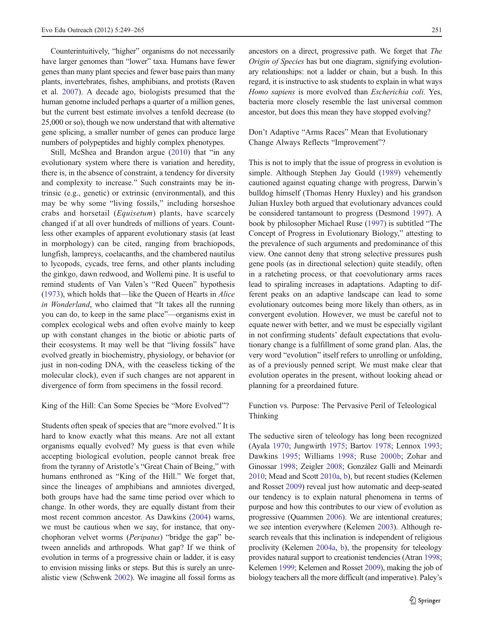Counterintuitively, "higher" organisms do not necessarily have larger genomes than "lower" taxa. Humans have fewer genes than many plant species and fewer base pairs than many plants, invertebrates, fishes, amphibians, and protists (Raven et al. [2007\)](#page-16-0). A decade ago, biologists presumed that the human genome included perhaps a quarter of a million genes, but the current best estimate involves a tenfold decrease (to 25,000 or so), though we now understand that with alternative gene splicing, a smaller number of genes can produce large numbers of polypeptides and highly complex phenotypes.

Still, McShea and Brandon argue ([2010\)](#page-15-0) that "in any evolutionary system where there is variation and heredity, there is, in the absence of constraint, a tendency for diversity and complexity to increase." Such constraints may be intrinsic (e.g., genetic) or extrinsic (environmental), and this may be why some "living fossils," including horseshoe crabs and horsetail (Equisetum) plants, have scarcely changed if at all over hundreds of millions of years. Countless other examples of apparent evolutionary stasis (at least in morphology) can be cited, ranging from brachiopods, lungfish, lampreys, coelacanths, and the chambered nautilus to lycopods, cycads, tree ferns, and other plants including the ginkgo, dawn redwood, and Wollemi pine. It is useful to remind students of Van Valen's "Red Queen" hypothesis [\(1973](#page-16-0)), which holds that—like the Queen of Hearts in Alice in Wonderland, who claimed that "It takes all the running you can do, to keep in the same place"—organisms exist in complex ecological webs and often evolve mainly to keep up with constant changes in the biotic or abiotic parts of their ecosystems. It may well be that "living fossils" have evolved greatly in biochemistry, physiology, or behavior (or just in non-coding DNA, with the ceaseless ticking of the molecular clock), even if such changes are not apparent in divergence of form from specimens in the fossil record.

#### King of the Hill: Can Some Species be "More Evolved"?

Students often speak of species that are "more evolved." It is hard to know exactly what this means. Are not all extant organisms equally evolved? My guess is that even while accepting biological evolution, people cannot break free from the tyranny of Aristotle's "Great Chain of Being," with humans enthroned as "King of the Hill." We forget that, since the lineages of amphibians and amniotes diverged, both groups have had the same time period over which to change. In other words, they are equally distant from their most recent common ancestor. As Dawkins [\(2004](#page-14-0)) warns, we must be cautious when we say, for instance, that onychophoran velvet worms (Peripatus) "bridge the gap" between annelids and arthropods. What gap? If we think of evolution in terms of a progressive chain or ladder, it is easy to envision missing links or steps. But this is surely an unrealistic view (Schwenk [2002](#page-16-0)). We imagine all fossil forms as

ancestors on a direct, progressive path. We forget that The Origin of Species has but one diagram, signifying evolutionary relationships: not a ladder or chain, but a bush. In this regard, it is instructive to ask students to explain in what ways Homo sapiens is more evolved than Escherichia coli. Yes, bacteria more closely resemble the last universal common ancestor, but does this mean they have stopped evolving?

Don't Adaptive "Arms Races" Mean that Evolutionary Change Always Reflects "Improvement"?

This is not to imply that the issue of progress in evolution is simple. Although Stephen Jay Gould ([1989\)](#page-15-0) vehemently cautioned against equating change with progress, Darwin's bulldog himself (Thomas Henry Huxley) and his grandson Julian Huxley both argued that evolutionary advances could be considered tantamount to progress (Desmond [1997\)](#page-15-0). A book by philosopher Michael Ruse [\(1997](#page-16-0)) is subtitled "The Concept of Progress in Evolutionary Biology," attesting to the prevalence of such arguments and predominance of this view. One cannot deny that strong selective pressures push gene pools (as in directional selection) quite steadily, often in a ratcheting process, or that coevolutionary arms races lead to spiraling increases in adaptations. Adapting to different peaks on an adaptive landscape can lead to some evolutionary outcomes being more likely than others, as in convergent evolution. However, we must be careful not to equate newer with better, and we must be especially vigilant in not confirming students' default expectations that evolutionary change is a fulfillment of some grand plan. Alas, the very word "evolution" itself refers to unrolling or unfolding, as of a previously penned script. We must make clear that evolution operates in the present, without looking ahead or planning for a preordained future.

# Function vs. Purpose: The Pervasive Peril of Teleological Thinking

The seductive siren of teleology has long been recognized (Ayala [1970;](#page-14-0) Jungwirth [1975;](#page-15-0) Bartov [1978](#page-14-0); Lennox [1993;](#page-15-0) Dawkins [1995](#page-14-0); Williams [1998;](#page-16-0) Ruse [2000b;](#page-16-0) Zohar and Ginossar [1998;](#page-16-0) Zeigler [2008](#page-16-0); González Galli and Meinardi [2010;](#page-15-0) Mead and Scott [2010a](#page-15-0), [b\)](#page-15-0), but recent studies (Kelemen and Rosset [2009\)](#page-15-0) reveal just how automatic and deep-seated our tendency is to explain natural phenomena in terms of purpose and how this contributes to our view of evolution as progressive (Quammen [2006](#page-16-0)). We are intentional creatures; we see intention everywhere (Kelemen [2003](#page-15-0)). Although research reveals that this inclination is independent of religious proclivity (Kelemen [2004a,](#page-15-0) [b](#page-15-0)), the propensity for teleology provides natural support to creationist tendencies (Atran [1998;](#page-14-0) Kelemen [1999;](#page-15-0) Kelemen and Rosset [2009](#page-15-0)), making the job of biology teachers all the more difficult (and imperative). Paley's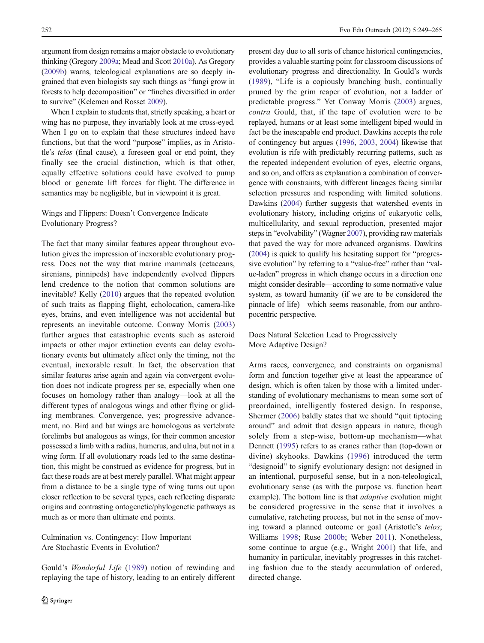argument from design remains a major obstacle to evolutionary thinking (Gregory [2009a;](#page-15-0) Mead and Scott [2010a](#page-15-0)). As Gregory [\(2009b\)](#page-15-0) warns, teleological explanations are so deeply ingrained that even biologists say such things as "fungi grow in forests to help decomposition" or "finches diversified in order to survive" (Kelemen and Rosset [2009\)](#page-15-0).

When I explain to students that, strictly speaking, a heart or wing has no purpose, they invariably look at me cross-eyed. When I go on to explain that these structures indeed have functions, but that the word "purpose" implies, as in Aristotle's telos (final cause), a foreseen goal or end point, they finally see the crucial distinction, which is that other, equally effective solutions could have evolved to pump blood or generate lift forces for flight. The difference in semantics may be negligible, but in viewpoint it is great.

# Wings and Flippers: Doesn't Convergence Indicate Evolutionary Progress?

The fact that many similar features appear throughout evolution gives the impression of inexorable evolutionary progress. Does not the way that marine mammals (cetaceans, sirenians, pinnipeds) have independently evolved flippers lend credence to the notion that common solutions are inevitable? Kelly [\(2010](#page-15-0)) argues that the repeated evolution of such traits as flapping flight, echolocation, camera-like eyes, brains, and even intelligence was not accidental but represents an inevitable outcome. Conway Morris ([2003\)](#page-14-0) further argues that catastrophic events such as asteroid impacts or other major extinction events can delay evolutionary events but ultimately affect only the timing, not the eventual, inexorable result. In fact, the observation that similar features arise again and again via convergent evolution does not indicate progress per se, especially when one focuses on homology rather than analogy—look at all the different types of analogous wings and other flying or gliding membranes. Convergence, yes; progressive advancement, no. Bird and bat wings are homologous as vertebrate forelimbs but analogous as wings, for their common ancestor possessed a limb with a radius, humerus, and ulna, but not in a wing form. If all evolutionary roads led to the same destination, this might be construed as evidence for progress, but in fact these roads are at best merely parallel. What might appear from a distance to be a single type of wing turns out upon closer reflection to be several types, each reflecting disparate origins and contrasting ontogenetic/phylogenetic pathways as much as or more than ultimate end points.

Culmination vs. Contingency: How Important Are Stochastic Events in Evolution?

Gould's Wonderful Life [\(1989\)](#page-15-0) notion of rewinding and replaying the tape of history, leading to an entirely different

present day due to all sorts of chance historical contingencies, provides a valuable starting point for classroom discussions of evolutionary progress and directionality. In Gould's words [\(1989\)](#page-15-0), "Life is a copiously branching bush, continually pruned by the grim reaper of evolution, not a ladder of predictable progress." Yet Conway Morris ([2003\)](#page-14-0) argues, contra Gould, that, if the tape of evolution were to be replayed, humans or at least some intelligent biped would in fact be the inescapable end product. Dawkins accepts the role of contingency but argues ([1996](#page-14-0), [2003,](#page-14-0) [2004](#page-14-0)) likewise that evolution is rife with predictably recurring patterns, such as the repeated independent evolution of eyes, electric organs, and so on, and offers as explanation a combination of convergence with constraints, with different lineages facing similar selection pressures and responding with limited solutions. Dawkins ([2004\)](#page-14-0) further suggests that watershed events in evolutionary history, including origins of eukaryotic cells, multicellularity, and sexual reproduction, presented major steps in "evolvability" (Wagner [2007\)](#page-16-0), providing raw materials that paved the way for more advanced organisms. Dawkins [\(2004\)](#page-14-0) is quick to qualify his hesitating support for "progressive evolution" by referring to a "value-free" rather than "value-laden" progress in which change occurs in a direction one might consider desirable—according to some normative value system, as toward humanity (if we are to be considered the pinnacle of life)—which seems reasonable, from our anthropocentric perspective.

# Does Natural Selection Lead to Progressively More Adaptive Design?

Arms races, convergence, and constraints on organismal form and function together give at least the appearance of design, which is often taken by those with a limited understanding of evolutionary mechanisms to mean some sort of preordained, intelligently fostered design. In response, Shermer ([2006\)](#page-16-0) baldly states that we should "quit tiptoeing around" and admit that design appears in nature, though solely from a step-wise, bottom-up mechanism—what Dennett ([1995\)](#page-15-0) refers to as cranes rather than (top-down or divine) skyhooks. Dawkins ([1996\)](#page-14-0) introduced the term "designoid" to signify evolutionary design: not designed in an intentional, purposeful sense, but in a non-teleological, evolutionary sense (as with the purpose vs. function heart example). The bottom line is that *adaptive* evolution might be considered progressive in the sense that it involves a cumulative, ratcheting process, but not in the sense of moving toward a planned outcome or goal (Aristotle's telos; Williams [1998](#page-16-0); Ruse [2000b;](#page-16-0) Weber [2011](#page-16-0)). Nonetheless, some continue to argue (e.g., Wright [2001\)](#page-16-0) that life, and humanity in particular, inevitably progresses in this ratcheting fashion due to the steady accumulation of ordered, directed change.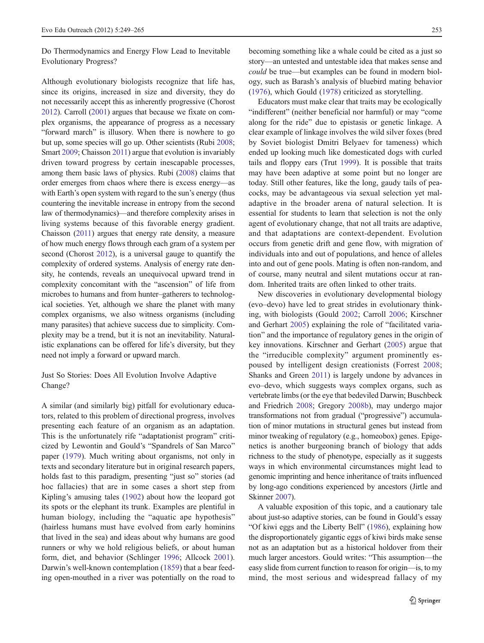Do Thermodynamics and Energy Flow Lead to Inevitable Evolutionary Progress?

Although evolutionary biologists recognize that life has, since its origins, increased in size and diversity, they do not necessarily accept this as inherently progressive (Chorost [2012\)](#page-14-0). Carroll [\(2001\)](#page-14-0) argues that because we fixate on complex organisms, the appearance of progress as a necessary "forward march" is illusory. When there is nowhere to go but up, some species will go up. Other scientists (Rubi [2008](#page-16-0); Smart [2009;](#page-16-0) Chaisson [2011](#page-14-0)) argue that evolution is invariably driven toward progress by certain inescapable processes, among them basic laws of physics. Rubi [\(2008\)](#page-16-0) claims that order emerges from chaos where there is excess energy—as with Earth's open system with regard to the sun's energy (thus countering the inevitable increase in entropy from the second law of thermodynamics)—and therefore complexity arises in living systems because of this favorable energy gradient. Chaisson ([2011\)](#page-14-0) argues that energy rate density, a measure of how much energy flows through each gram of a system per second (Chorost [2012](#page-14-0)), is a universal gauge to quantify the complexity of ordered systems. Analysis of energy rate density, he contends, reveals an unequivocal upward trend in complexity concomitant with the "ascension" of life from microbes to humans and from hunter–gatherers to technological societies. Yet, although we share the planet with many complex organisms, we also witness organisms (including many parasites) that achieve success due to simplicity. Complexity may be a trend, but it is not an inevitability. Naturalistic explanations can be offered for life's diversity, but they need not imply a forward or upward march.

Just So Stories: Does All Evolution Involve Adaptive Change?

A similar (and similarly big) pitfall for evolutionary educators, related to this problem of directional progress, involves presenting each feature of an organism as an adaptation. This is the unfortunately rife "adaptationist program" criticized by Lewontin and Gould's "Spandrels of San Marco" paper [\(1979](#page-15-0)). Much writing about organisms, not only in texts and secondary literature but in original research papers, holds fast to this paradigm, presenting "just so" stories (ad hoc fallacies) that are in some cases a short step from Kipling's amusing tales ([1902\)](#page-15-0) about how the leopard got its spots or the elephant its trunk. Examples are plentiful in human biology, including the "aquatic ape hypothesis" (hairless humans must have evolved from early hominins that lived in the sea) and ideas about why humans are good runners or why we hold religious beliefs, or about human form, diet, and behavior (Schlinger [1996;](#page-16-0) Allcock [2001](#page-14-0)). Darwin's well-known contemplation ([1859\)](#page-14-0) that a bear feeding open-mouthed in a river was potentially on the road to becoming something like a whale could be cited as a just so story—an untested and untestable idea that makes sense and could be true—but examples can be found in modern biology, such as Barash's analysis of bluebird mating behavior [\(1976](#page-14-0)), which Gould [\(1978](#page-15-0)) criticized as storytelling.

Educators must make clear that traits may be ecologically "indifferent" (neither beneficial nor harmful) or may "come along for the ride" due to epistasis or genetic linkage. A clear example of linkage involves the wild silver foxes (bred by Soviet biologist Dmitri Belyaev for tameness) which ended up looking much like domesticated dogs with curled tails and floppy ears (Trut [1999\)](#page-16-0). It is possible that traits may have been adaptive at some point but no longer are today. Still other features, like the long, gaudy tails of peacocks, may be advantageous via sexual selection yet maladaptive in the broader arena of natural selection. It is essential for students to learn that selection is not the only agent of evolutionary change, that not all traits are adaptive, and that adaptations are context-dependent. Evolution occurs from genetic drift and gene flow, with migration of individuals into and out of populations, and hence of alleles into and out of gene pools. Mating is often non-random, and of course, many neutral and silent mutations occur at random. Inherited traits are often linked to other traits.

New discoveries in evolutionary developmental biology (evo–devo) have led to great strides in evolutionary thinking, with biologists (Gould [2002;](#page-15-0) Carroll [2006;](#page-14-0) Kirschner and Gerhart [2005](#page-15-0)) explaining the role of "facilitated variation" and the importance of regulatory genes in the origin of key innovations. Kirschner and Gerhart [\(2005](#page-15-0)) argue that the "irreducible complexity" argument prominently espoused by intelligent design creationists (Forrest [2008;](#page-15-0) Shanks and Green [2011](#page-16-0)) is largely undone by advances in evo–devo, which suggests ways complex organs, such as vertebrate limbs (or the eye that bedeviled Darwin; Buschbeck and Friedrich [2008;](#page-14-0) Gregory [2008b\)](#page-15-0), may undergo major transformations not from gradual ("progressive") accumulation of minor mutations in structural genes but instead from minor tweaking of regulatory (e.g., homeobox) genes. Epigenetics is another burgeoning branch of biology that adds richness to the study of phenotype, especially as it suggests ways in which environmental circumstances might lead to genomic imprinting and hence inheritance of traits influenced by long-ago conditions experienced by ancestors (Jirtle and Skinner [2007](#page-15-0)).

A valuable exposition of this topic, and a cautionary tale about just-so adaptive stories, can be found in Gould's essay "Of kiwi eggs and the Liberty Bell" [\(1986\)](#page-15-0), explaining how the disproportionately gigantic eggs of kiwi birds make sense not as an adaptation but as a historical holdover from their much larger ancestors. Gould writes: "This assumption—the easy slide from current function to reason for origin—is, to my mind, the most serious and widespread fallacy of my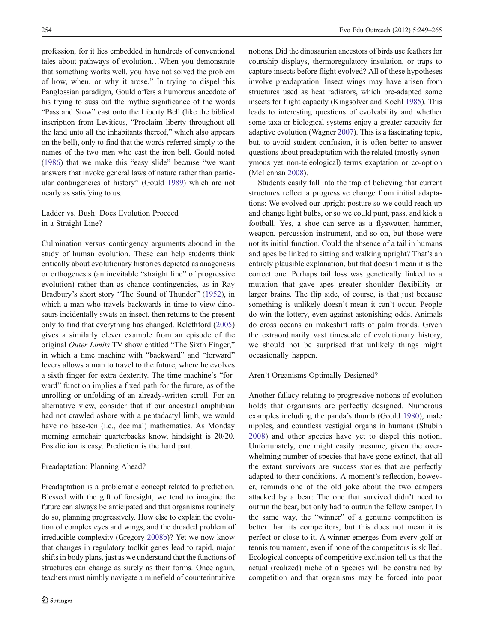profession, for it lies embedded in hundreds of conventional tales about pathways of evolution…When you demonstrate that something works well, you have not solved the problem of how, when, or why it arose." In trying to dispel this Panglossian paradigm, Gould offers a humorous anecdote of his trying to suss out the mythic significance of the words "Pass and Stow" cast onto the Liberty Bell (like the biblical inscription from Leviticus, "Proclaim liberty throughout all the land unto all the inhabitants thereof," which also appears on the bell), only to find that the words referred simply to the names of the two men who cast the iron bell. Gould noted [\(1986](#page-15-0)) that we make this "easy slide" because "we want answers that invoke general laws of nature rather than particular contingencies of history" (Gould [1989\)](#page-15-0) which are not nearly as satisfying to us.

# Ladder vs. Bush: Does Evolution Proceed in a Straight Line?

Culmination versus contingency arguments abound in the study of human evolution. These can help students think critically about evolutionary histories depicted as anagenesis or orthogenesis (an inevitable "straight line" of progressive evolution) rather than as chance contingencies, as in Ray Bradbury's short story "The Sound of Thunder" [\(1952](#page-14-0)), in which a man who travels backwards in time to view dinosaurs incidentally swats an insect, then returns to the present only to find that everything has changed. Relethford ([2005\)](#page-16-0) gives a similarly clever example from an episode of the original Outer Limits TV show entitled "The Sixth Finger," in which a time machine with "backward" and "forward" levers allows a man to travel to the future, where he evolves a sixth finger for extra dexterity. The time machine's "forward" function implies a fixed path for the future, as of the unrolling or unfolding of an already-written scroll. For an alternative view, consider that if our ancestral amphibian had not crawled ashore with a pentadactyl limb, we would have no base-ten (i.e., decimal) mathematics. As Monday morning armchair quarterbacks know, hindsight is 20/20. Postdiction is easy. Prediction is the hard part.

### Preadaptation: Planning Ahead?

Preadaptation is a problematic concept related to prediction. Blessed with the gift of foresight, we tend to imagine the future can always be anticipated and that organisms routinely do so, planning progressively. How else to explain the evolution of complex eyes and wings, and the dreaded problem of irreducible complexity (Gregory [2008b\)](#page-15-0)? Yet we now know that changes in regulatory toolkit genes lead to rapid, major shifts in body plans, just as we understand that the functions of structures can change as surely as their forms. Once again, teachers must nimbly navigate a minefield of counterintuitive

notions. Did the dinosaurian ancestors of birds use feathers for courtship displays, thermoregulatory insulation, or traps to capture insects before flight evolved? All of these hypotheses involve preadaptation. Insect wings may have arisen from structures used as heat radiators, which pre-adapted some insects for flight capacity (Kingsolver and Koehl [1985\)](#page-15-0). This leads to interesting questions of evolvability and whether some taxa or biological systems enjoy a greater capacity for adaptive evolution (Wagner [2007](#page-16-0)). This is a fascinating topic, but, to avoid student confusion, it is often better to answer questions about preadaptation with the related (mostly synonymous yet non-teleological) terms exaptation or co-option (McLennan [2008\)](#page-15-0).

Students easily fall into the trap of believing that current structures reflect a progressive change from initial adaptations: We evolved our upright posture so we could reach up and change light bulbs, or so we could punt, pass, and kick a football. Yes, a shoe can serve as a flyswatter, hammer, weapon, percussion instrument, and so on, but those were not its initial function. Could the absence of a tail in humans and apes be linked to sitting and walking upright? That's an entirely plausible explanation, but that doesn't mean it is the correct one. Perhaps tail loss was genetically linked to a mutation that gave apes greater shoulder flexibility or larger brains. The flip side, of course, is that just because something is unlikely doesn't mean it can't occur. People do win the lottery, even against astonishing odds. Animals do cross oceans on makeshift rafts of palm fronds. Given the extraordinarily vast timescale of evolutionary history, we should not be surprised that unlikely things might occasionally happen.

Aren't Organisms Optimally Designed?

Another fallacy relating to progressive notions of evolution holds that organisms are perfectly designed. Numerous examples including the panda's thumb (Gould [1980](#page-15-0)), male nipples, and countless vestigial organs in humans (Shubin [2008\)](#page-16-0) and other species have yet to dispel this notion. Unfortunately, one might easily presume, given the overwhelming number of species that have gone extinct, that all the extant survivors are success stories that are perfectly adapted to their conditions. A moment's reflection, however, reminds one of the old joke about the two campers attacked by a bear: The one that survived didn't need to outrun the bear, but only had to outrun the fellow camper. In the same way, the "winner" of a genuine competition is better than its competitors, but this does not mean it is perfect or close to it. A winner emerges from every golf or tennis tournament, even if none of the competitors is skilled. Ecological concepts of competitive exclusion tell us that the actual (realized) niche of a species will be constrained by competition and that organisms may be forced into poor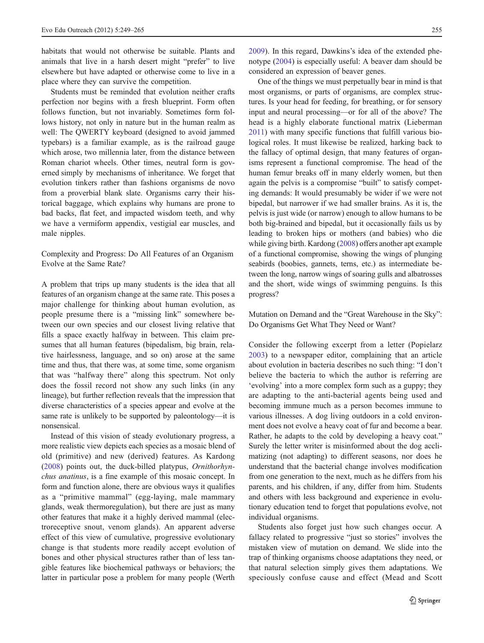habitats that would not otherwise be suitable. Plants and animals that live in a harsh desert might "prefer" to live elsewhere but have adapted or otherwise come to live in a place where they can survive the competition.

Students must be reminded that evolution neither crafts perfection nor begins with a fresh blueprint. Form often follows function, but not invariably. Sometimes form follows history, not only in nature but in the human realm as well: The QWERTY keyboard (designed to avoid jammed typebars) is a familiar example, as is the railroad gauge which arose, two millennia later, from the distance between Roman chariot wheels. Other times, neutral form is governed simply by mechanisms of inheritance. We forget that evolution tinkers rather than fashions organisms de novo from a proverbial blank slate. Organisms carry their historical baggage, which explains why humans are prone to bad backs, flat feet, and impacted wisdom teeth, and why we have a vermiform appendix, vestigial ear muscles, and male nipples.

Complexity and Progress: Do All Features of an Organism Evolve at the Same Rate?

A problem that trips up many students is the idea that all features of an organism change at the same rate. This poses a major challenge for thinking about human evolution, as people presume there is a "missing link" somewhere between our own species and our closest living relative that fills a space exactly halfway in between. This claim presumes that all human features (bipedalism, big brain, relative hairlessness, language, and so on) arose at the same time and thus, that there was, at some time, some organism that was "halfway there" along this spectrum. Not only does the fossil record not show any such links (in any lineage), but further reflection reveals that the impression that diverse characteristics of a species appear and evolve at the same rate is unlikely to be supported by paleontology—it is nonsensical.

Instead of this vision of steady evolutionary progress, a more realistic view depicts each species as a mosaic blend of old (primitive) and new (derived) features. As Kardong [\(2008](#page-15-0)) points out, the duck-billed platypus, Ornithorhynchus anatinus, is a fine example of this mosaic concept. In form and function alone, there are obvious ways it qualifies as a "primitive mammal" (egg-laying, male mammary glands, weak thermoregulation), but there are just as many other features that make it a highly derived mammal (electroreceptive snout, venom glands). An apparent adverse effect of this view of cumulative, progressive evolutionary change is that students more readily accept evolution of bones and other physical structures rather than of less tangible features like biochemical pathways or behaviors; the latter in particular pose a problem for many people (Werth

[2009](#page-16-0)). In this regard, Dawkins's idea of the extended phenotype [\(2004](#page-14-0)) is especially useful: A beaver dam should be considered an expression of beaver genes.

One of the things we must perpetually bear in mind is that most organisms, or parts of organisms, are complex structures. Is your head for feeding, for breathing, or for sensory input and neural processing—or for all of the above? The head is a highly elaborate functional matrix (Lieberman [2011\)](#page-15-0) with many specific functions that fulfill various biological roles. It must likewise be realized, harking back to the fallacy of optimal design, that many features of organisms represent a functional compromise. The head of the human femur breaks off in many elderly women, but then again the pelvis is a compromise "built" to satisfy competing demands: It would presumably be wider if we were not bipedal, but narrower if we had smaller brains. As it is, the pelvis is just wide (or narrow) enough to allow humans to be both big-brained and bipedal, but it occasionally fails us by leading to broken hips or mothers (and babies) who die while giving birth. Kardong ([2008](#page-15-0)) offers another apt example of a functional compromise, showing the wings of plunging seabirds (boobies, gannets, terns, etc.) as intermediate between the long, narrow wings of soaring gulls and albatrosses and the short, wide wings of swimming penguins. Is this progress?

Mutation on Demand and the "Great Warehouse in the Sky": Do Organisms Get What They Need or Want?

Consider the following excerpt from a letter (Popielarz [2003](#page-16-0)) to a newspaper editor, complaining that an article about evolution in bacteria describes no such thing: "I don't believe the bacteria to which the author is referring are 'evolving' into a more complex form such as a guppy; they are adapting to the anti-bacterial agents being used and becoming immune much as a person becomes immune to various illnesses. A dog living outdoors in a cold environment does not evolve a heavy coat of fur and become a bear. Rather, he adapts to the cold by developing a heavy coat." Surely the letter writer is misinformed about the dog acclimatizing (not adapting) to different seasons, nor does he understand that the bacterial change involves modification from one generation to the next, much as he differs from his parents, and his children, if any, differ from him. Students and others with less background and experience in evolutionary education tend to forget that populations evolve, not individual organisms.

Students also forget just how such changes occur. A fallacy related to progressive "just so stories" involves the mistaken view of mutation on demand. We slide into the trap of thinking organisms choose adaptations they need, or that natural selection simply gives them adaptations. We speciously confuse cause and effect (Mead and Scott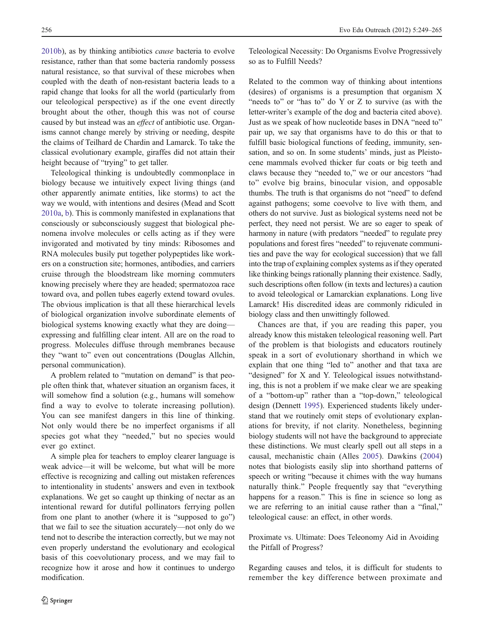[2010b\)](#page-15-0), as by thinking antibiotics cause bacteria to evolve resistance, rather than that some bacteria randomly possess natural resistance, so that survival of these microbes when coupled with the death of non-resistant bacteria leads to a rapid change that looks for all the world (particularly from our teleological perspective) as if the one event directly brought about the other, though this was not of course caused by but instead was an effect of antibiotic use. Organisms cannot change merely by striving or needing, despite the claims of Teilhard de Chardin and Lamarck. To take the classical evolutionary example, giraffes did not attain their height because of "trying" to get taller.

Teleological thinking is undoubtedly commonplace in biology because we intuitively expect living things (and other apparently animate entities, like storms) to act the way we would, with intentions and desires (Mead and Scott [2010a](#page-15-0), [b](#page-15-0)). This is commonly manifested in explanations that consciously or subconsciously suggest that biological phenomena involve molecules or cells acting as if they were invigorated and motivated by tiny minds: Ribosomes and RNA molecules busily put together polypeptides like workers on a construction site; hormones, antibodies, and carriers cruise through the bloodstream like morning commuters knowing precisely where they are headed; spermatozoa race toward ova, and pollen tubes eagerly extend toward ovules. The obvious implication is that all these hierarchical levels of biological organization involve subordinate elements of biological systems knowing exactly what they are doing expressing and fulfilling clear intent. All are on the road to progress. Molecules diffuse through membranes because they "want to" even out concentrations (Douglas Allchin, personal communication).

A problem related to "mutation on demand" is that people often think that, whatever situation an organism faces, it will somehow find a solution (e.g., humans will somehow find a way to evolve to tolerate increasing pollution). You can see manifest dangers in this line of thinking. Not only would there be no imperfect organisms if all species got what they "needed," but no species would ever go extinct.

A simple plea for teachers to employ clearer language is weak advice—it will be welcome, but what will be more effective is recognizing and calling out mistaken references to intentionality in students' answers and even in textbook explanations. We get so caught up thinking of nectar as an intentional reward for dutiful pollinators ferrying pollen from one plant to another (where it is "supposed to go") that we fail to see the situation accurately—not only do we tend not to describe the interaction correctly, but we may not even properly understand the evolutionary and ecological basis of this coevolutionary process, and we may fail to recognize how it arose and how it continues to undergo modification.

Teleological Necessity: Do Organisms Evolve Progressively so as to Fulfill Needs?

Related to the common way of thinking about intentions (desires) of organisms is a presumption that organism X "needs to" or "has to" do Y or Z to survive (as with the letter-writer's example of the dog and bacteria cited above). Just as we speak of how nucleotide bases in DNA "need to" pair up, we say that organisms have to do this or that to fulfill basic biological functions of feeding, immunity, sensation, and so on. In some students' minds, just as Pleistocene mammals evolved thicker fur coats or big teeth and claws because they "needed to," we or our ancestors "had to" evolve big brains, binocular vision, and opposable thumbs. The truth is that organisms do not "need" to defend against pathogens; some coevolve to live with them, and others do not survive. Just as biological systems need not be perfect, they need not persist. We are so eager to speak of harmony in nature (with predators "needed" to regulate prey populations and forest fires "needed" to rejuvenate communities and pave the way for ecological succession) that we fall into the trap of explaining complex systems as if they operated like thinking beings rationally planning their existence. Sadly, such descriptions often follow (in texts and lectures) a caution to avoid teleological or Lamarckian explanations. Long live Lamarck! His discredited ideas are commonly ridiculed in biology class and then unwittingly followed.

Chances are that, if you are reading this paper, you already know this mistaken teleological reasoning well. Part of the problem is that biologists and educators routinely speak in a sort of evolutionary shorthand in which we explain that one thing "led to" another and that taxa are "designed" for X and Y. Teleological issues notwithstanding, this is not a problem if we make clear we are speaking of a "bottom-up" rather than a "top-down," teleological design (Dennett [1995\)](#page-15-0). Experienced students likely understand that we routinely omit steps of evolutionary explanations for brevity, if not clarity. Nonetheless, beginning biology students will not have the background to appreciate these distinctions. We must clearly spell out all steps in a causal, mechanistic chain (Alles [2005\)](#page-14-0). Dawkins ([2004](#page-14-0)) notes that biologists easily slip into shorthand patterns of speech or writing "because it chimes with the way humans naturally think." People frequently say that "everything happens for a reason." This is fine in science so long as we are referring to an initial cause rather than a "final," teleological cause: an effect, in other words.

Proximate vs. Ultimate: Does Teleonomy Aid in Avoiding the Pitfall of Progress?

Regarding causes and telos, it is difficult for students to remember the key difference between proximate and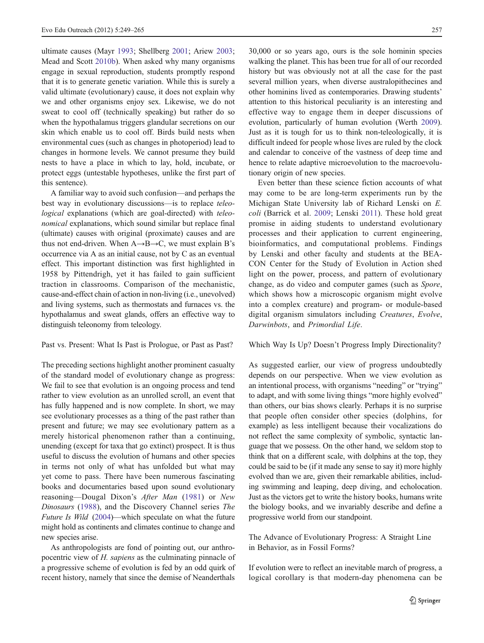ultimate causes (Mayr [1993](#page-15-0); Shellberg [2001;](#page-16-0) Ariew [2003](#page-14-0); Mead and Scott [2010b](#page-15-0)). When asked why many organisms engage in sexual reproduction, students promptly respond that it is to generate genetic variation. While this is surely a valid ultimate (evolutionary) cause, it does not explain why we and other organisms enjoy sex. Likewise, we do not sweat to cool off (technically speaking) but rather do so when the hypothalamus triggers glandular secretions on our skin which enable us to cool off. Birds build nests when environmental cues (such as changes in photoperiod) lead to changes in hormone levels. We cannot presume they build nests to have a place in which to lay, hold, incubate, or protect eggs (untestable hypotheses, unlike the first part of this sentence).

A familiar way to avoid such confusion—and perhaps the best way in evolutionary discussions—is to replace teleological explanations (which are goal-directed) with teleonomical explanations, which sound similar but replace final (ultimate) causes with original (proximate) causes and are thus not end-driven. When  $A \rightarrow B \rightarrow C$ , we must explain B's occurrence via A as an initial cause, not by C as an eventual effect. This important distinction was first highlighted in 1958 by Pittendrigh, yet it has failed to gain sufficient traction in classrooms. Comparison of the mechanistic, cause-and-effect chain of action in non-living (i.e., unevolved) and living systems, such as thermostats and furnaces vs. the hypothalamus and sweat glands, offers an effective way to distinguish teleonomy from teleology.

Past vs. Present: What Is Past is Prologue, or Past as Past?

The preceding sections highlight another prominent casualty of the standard model of evolutionary change as progress: We fail to see that evolution is an ongoing process and tend rather to view evolution as an unrolled scroll, an event that has fully happened and is now complete. In short, we may see evolutionary processes as a thing of the past rather than present and future; we may see evolutionary pattern as a merely historical phenomenon rather than a continuing, unending (except for taxa that go extinct) prospect. It is thus useful to discuss the evolution of humans and other species in terms not only of what has unfolded but what may yet come to pass. There have been numerous fascinating books and documentaries based upon sound evolutionary reasoning—Dougal Dixon's After Man ([1981\)](#page-15-0) or New Dinosaurs ([1988](#page-15-0)), and the Discovery Channel series The Future Is Wild ([2004](#page-15-0))—which speculate on what the future might hold as continents and climates continue to change and new species arise.

As anthropologists are fond of pointing out, our anthropocentric view of H. sapiens as the culminating pinnacle of a progressive scheme of evolution is fed by an odd quirk of recent history, namely that since the demise of Neanderthals

30,000 or so years ago, ours is the sole hominin species walking the planet. This has been true for all of our recorded history but was obviously not at all the case for the past several million years, when diverse australopithecines and other hominins lived as contemporaries. Drawing students' attention to this historical peculiarity is an interesting and effective way to engage them in deeper discussions of evolution, particularly of human evolution (Werth [2009\)](#page-16-0). Just as it is tough for us to think non-teleologically, it is difficult indeed for people whose lives are ruled by the clock and calendar to conceive of the vastness of deep time and hence to relate adaptive microevolution to the macroevolutionary origin of new species.

Even better than these science fiction accounts of what may come to be are long-term experiments run by the Michigan State University lab of Richard Lenski on E. coli (Barrick et al. [2009](#page-14-0); Lenski [2011\)](#page-15-0). These hold great promise in aiding students to understand evolutionary processes and their application to current engineering, bioinformatics, and computational problems. Findings by Lenski and other faculty and students at the BEA-CON Center for the Study of Evolution in Action shed light on the power, process, and pattern of evolutionary change, as do video and computer games (such as Spore, which shows how a microscopic organism might evolve into a complex creature) and program- or module-based digital organism simulators including Creatures, Evolve, Darwinbots, and Primordial Life.

## Which Way Is Up? Doesn't Progress Imply Directionality?

As suggested earlier, our view of progress undoubtedly depends on our perspective. When we view evolution as an intentional process, with organisms "needing" or "trying" to adapt, and with some living things "more highly evolved" than others, our bias shows clearly. Perhaps it is no surprise that people often consider other species (dolphins, for example) as less intelligent because their vocalizations do not reflect the same complexity of symbolic, syntactic language that we possess. On the other hand, we seldom stop to think that on a different scale, with dolphins at the top, they could be said to be (if it made any sense to say it) more highly evolved than we are, given their remarkable abilities, including swimming and leaping, deep diving, and echolocation. Just as the victors get to write the history books, humans write the biology books, and we invariably describe and define a progressive world from our standpoint.

The Advance of Evolutionary Progress: A Straight Line in Behavior, as in Fossil Forms?

If evolution were to reflect an inevitable march of progress, a logical corollary is that modern-day phenomena can be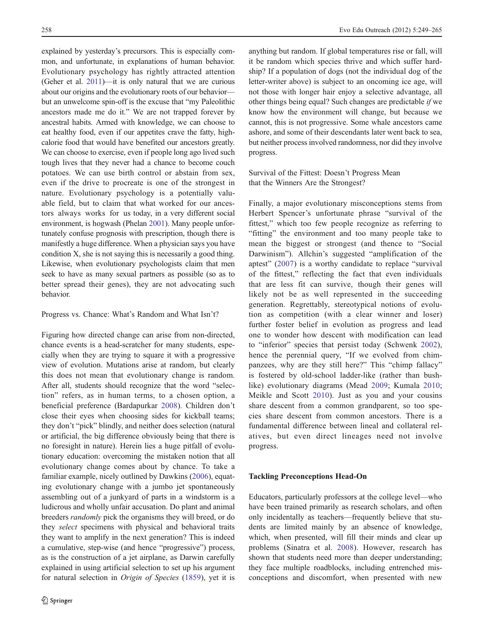explained by yesterday's precursors. This is especially common, and unfortunate, in explanations of human behavior. Evolutionary psychology has rightly attracted attention (Geher et al. [2011\)](#page-15-0)—it is only natural that we are curious about our origins and the evolutionary roots of our behavior but an unwelcome spin-off is the excuse that "my Paleolithic ancestors made me do it." We are not trapped forever by ancestral habits. Armed with knowledge, we can choose to eat healthy food, even if our appetites crave the fatty, highcalorie food that would have benefited our ancestors greatly. We can choose to exercise, even if people long ago lived such tough lives that they never had a chance to become couch potatoes. We can use birth control or abstain from sex, even if the drive to procreate is one of the strongest in nature. Evolutionary psychology is a potentially valuable field, but to claim that what worked for our ancestors always works for us today, in a very different social environment, is hogwash (Phelan [2001](#page-16-0)). Many people unfortunately confuse prognosis with prescription, though there is manifestly a huge difference. When a physician says you have condition X, she is not saying this is necessarily a good thing. Likewise, when evolutionary psychologists claim that men seek to have as many sexual partners as possible (so as to better spread their genes), they are not advocating such behavior.

#### Progress vs. Chance: What's Random and What Isn't?

Figuring how directed change can arise from non-directed, chance events is a head-scratcher for many students, especially when they are trying to square it with a progressive view of evolution. Mutations arise at random, but clearly this does not mean that evolutionary change is random. After all, students should recognize that the word "selection" refers, as in human terms, to a chosen option, a beneficial preference (Bardapurkar [2008\)](#page-14-0). Children don't close their eyes when choosing sides for kickball teams; they don't "pick" blindly, and neither does selection (natural or artificial, the big difference obviously being that there is no foresight in nature). Herein lies a huge pitfall of evolutionary education: overcoming the mistaken notion that all evolutionary change comes about by chance. To take a familiar example, nicely outlined by Dawkins ([2006\)](#page-15-0), equating evolutionary change with a jumbo jet spontaneously assembling out of a junkyard of parts in a windstorm is a ludicrous and wholly unfair accusation. Do plant and animal breeders randomly pick the organisms they will breed, or do they select specimens with physical and behavioral traits they want to amplify in the next generation? This is indeed a cumulative, step-wise (and hence "progressive") process, as is the construction of a jet airplane, as Darwin carefully explained in using artificial selection to set up his argument for natural selection in *Origin of Species* [\(1859](#page-14-0)), yet it is anything but random. If global temperatures rise or fall, will it be random which species thrive and which suffer hardship? If a population of dogs (not the individual dog of the letter-writer above) is subject to an oncoming ice age, will not those with longer hair enjoy a selective advantage, all other things being equal? Such changes are predictable if we know how the environment will change, but because we cannot, this is not progressive. Some whale ancestors came ashore, and some of their descendants later went back to sea, but neither process involved randomness, nor did they involve progress.

Survival of the Fittest: Doesn't Progress Mean that the Winners Are the Strongest?

Finally, a major evolutionary misconceptions stems from Herbert Spencer's unfortunate phrase "survival of the fittest," which too few people recognize as referring to "fitting" the environment and too many people take to mean the biggest or strongest (and thence to "Social Darwinism"). Allchin's suggested "amplification of the aptest" [\(2007\)](#page-14-0) is a worthy candidate to replace "survival of the fittest," reflecting the fact that even individuals that are less fit can survive, though their genes will likely not be as well represented in the succeeding generation. Regrettably, stereotypical notions of evolution as competition (with a clear winner and loser) further foster belief in evolution as progress and lead one to wonder how descent with modification can lead to "inferior" species that persist today (Schwenk [2002](#page-16-0)), hence the perennial query, "If we evolved from chimpanzees, why are they still here?" This "chimp fallacy" is fostered by old-school ladder-like (rather than bushlike) evolutionary diagrams (Mead [2009](#page-15-0); Kumala [2010;](#page-15-0) Meikle and Scott [2010](#page-15-0)). Just as you and your cousins share descent from a common grandparent, so too species share descent from common ancestors. There is a fundamental difference between lineal and collateral relatives, but even direct lineages need not involve progress.

## Tackling Preconceptions Head-On

Educators, particularly professors at the college level—who have been trained primarily as research scholars, and often only incidentally as teachers—frequently believe that students are limited mainly by an absence of knowledge, which, when presented, will fill their minds and clear up problems (Sinatra et al. [2008](#page-16-0)). However, research has shown that students need more than deeper understanding; they face multiple roadblocks, including entrenched misconceptions and discomfort, when presented with new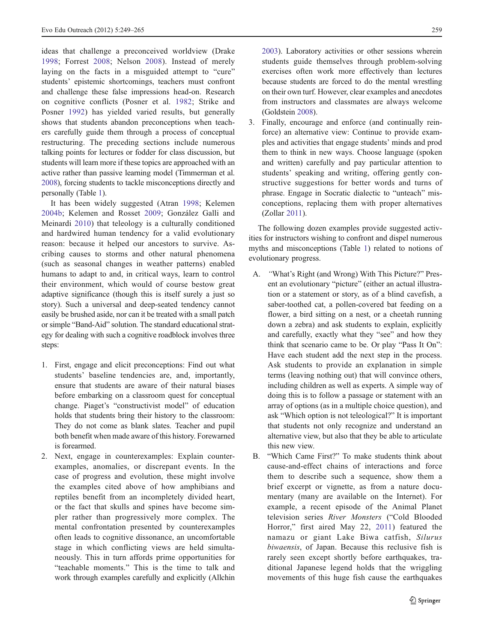ideas that challenge a preconceived worldview (Drake [1998;](#page-15-0) Forrest [2008;](#page-15-0) Nelson [2008\)](#page-15-0). Instead of merely laying on the facts in a misguided attempt to "cure" students' epistemic shortcomings, teachers must confront and challenge these false impressions head-on. Research on cognitive conflicts (Posner et al. [1982](#page-16-0); Strike and Posner [1992](#page-16-0)) has yielded varied results, but generally shows that students abandon preconceptions when teachers carefully guide them through a process of conceptual restructuring. The preceding sections include numerous talking points for lectures or fodder for class discussion, but students will learn more if these topics are approached with an active rather than passive learning model (Timmerman et al. [2008\)](#page-16-0), forcing students to tackle misconceptions directly and personally (Table [1\)](#page-11-0).

It has been widely suggested (Atran [1998](#page-14-0); Kelemen [2004b](#page-15-0); Kelemen and Rosset [2009](#page-15-0); González Galli and Meinardi [2010](#page-15-0)) that teleology is a culturally conditioned and hardwired human tendency for a valid evolutionary reason: because it helped our ancestors to survive. Ascribing causes to storms and other natural phenomena (such as seasonal changes in weather patterns) enabled humans to adapt to and, in critical ways, learn to control their environment, which would of course bestow great adaptive significance (though this is itself surely a just so story). Such a universal and deep-seated tendency cannot easily be brushed aside, nor can it be treated with a small patch or simple "Band-Aid" solution. The standard educational strategy for dealing with such a cognitive roadblock involves three steps:

- 1. First, engage and elicit preconceptions: Find out what students' baseline tendencies are, and, importantly, ensure that students are aware of their natural biases before embarking on a classroom quest for conceptual change. Piaget's "constructivist model" of education holds that students bring their history to the classroom: They do not come as blank slates. Teacher and pupil both benefit when made aware of this history. Forewarned is forearmed.
- 2. Next, engage in counterexamples: Explain counterexamples, anomalies, or discrepant events. In the case of progress and evolution, these might involve the examples cited above of how amphibians and reptiles benefit from an incompletely divided heart, or the fact that skulls and spines have become simpler rather than progressively more complex. The mental confrontation presented by counterexamples often leads to cognitive dissonance, an uncomfortable stage in which conflicting views are held simultaneously. This in turn affords prime opportunities for "teachable moments." This is the time to talk and work through examples carefully and explicitly (Allchin

[2003](#page-14-0)). Laboratory activities or other sessions wherein students guide themselves through problem-solving exercises often work more effectively than lectures because students are forced to do the mental wrestling on their own turf. However, clear examples and anecdotes from instructors and classmates are always welcome (Goldstein [2008](#page-15-0)).

3. Finally, encourage and enforce (and continually reinforce) an alternative view: Continue to provide examples and activities that engage students' minds and prod them to think in new ways. Choose language (spoken and written) carefully and pay particular attention to students' speaking and writing, offering gently constructive suggestions for better words and turns of phrase. Engage in Socratic dialectic to "unteach" misconceptions, replacing them with proper alternatives (Zollar [2011](#page-16-0)).

The following dozen examples provide suggested activities for instructors wishing to confront and dispel numerous myths and misconceptions (Table [1\)](#page-11-0) related to notions of evolutionary progress.

- A. "What's Right (and Wrong) With This Picture?" Present an evolutionary "picture" (either an actual illustration or a statement or story, as of a blind cavefish, a saber-toothed cat, a pollen-covered bat feeding on a flower, a bird sitting on a nest, or a cheetah running down a zebra) and ask students to explain, explicitly and carefully, exactly what they "see" and how they think that scenario came to be. Or play "Pass It On": Have each student add the next step in the process. Ask students to provide an explanation in simple terms (leaving nothing out) that will convince others, including children as well as experts. A simple way of doing this is to follow a passage or statement with an array of options (as in a multiple choice question), and ask "Which option is not teleological?" It is important that students not only recognize and understand an alternative view, but also that they be able to articulate this new view.
- B. "Which Came First?" To make students think about cause-and-effect chains of interactions and force them to describe such a sequence, show them a brief excerpt or vignette, as from a nature documentary (many are available on the Internet). For example, a recent episode of the Animal Planet television series River Monsters ("Cold Blooded Horror," first aired May 22, [2011\)](#page-14-0) featured the namazu or giant Lake Biwa catfish, Silurus biwaensis, of Japan. Because this reclusive fish is rarely seen except shortly before earthquakes, traditional Japanese legend holds that the wriggling movements of this huge fish cause the earthquakes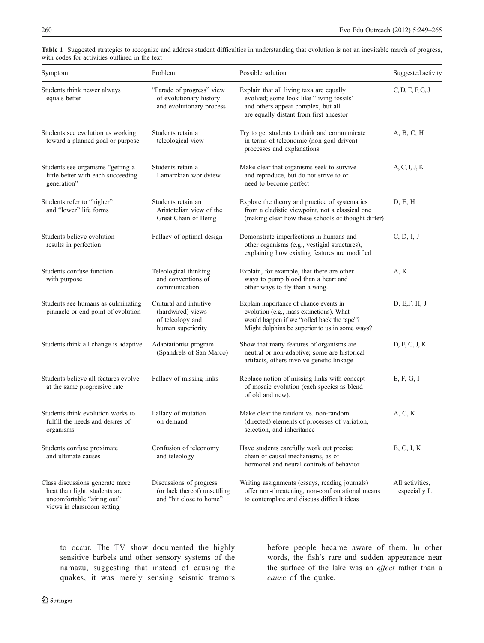| Symptom                                                                                                                      | Problem                                                                              | Possible solution                                                                                                                                                                  | Suggested activity              |  |  |
|------------------------------------------------------------------------------------------------------------------------------|--------------------------------------------------------------------------------------|------------------------------------------------------------------------------------------------------------------------------------------------------------------------------------|---------------------------------|--|--|
| Students think newer always<br>equals better                                                                                 | "Parade of progress" view<br>of evolutionary history<br>and evolutionary process     | Explain that all living taxa are equally<br>evolved; some look like "living fossils"<br>and others appear complex, but all<br>are equally distant from first ancestor              | C, D, E, F, G, J                |  |  |
| Students see evolution as working<br>toward a planned goal or purpose                                                        | Students retain a<br>teleological view                                               | Try to get students to think and communicate<br>in terms of teleonomic (non-goal-driven)<br>processes and explanations                                                             | A, B, C, H                      |  |  |
| Students see organisms "getting a<br>little better with each succeeding<br>generation"                                       | Students retain a<br>Lamarckian worldview                                            | Make clear that organisms seek to survive<br>and reproduce, but do not strive to or<br>need to become perfect                                                                      | A, C, I, J, K                   |  |  |
| Students refer to "higher"<br>and "lower" life forms                                                                         | Students retain an<br>Aristotelian view of the<br>Great Chain of Being               | Explore the theory and practice of systematics<br>from a cladistic viewpoint, not a classical one<br>(making clear how these schools of thought differ)                            | D, E, H                         |  |  |
| Students believe evolution<br>results in perfection                                                                          | Fallacy of optimal design                                                            | Demonstrate imperfections in humans and<br>other organisms (e.g., vestigial structures),<br>explaining how existing features are modified                                          | C, D, I, J                      |  |  |
| Students confuse function<br>with purpose                                                                                    | Teleological thinking<br>and conventions of<br>communication                         | Explain, for example, that there are other<br>ways to pump blood than a heart and<br>other ways to fly than a wing.                                                                | A, K                            |  |  |
| Students see humans as culminating<br>pinnacle or end point of evolution                                                     | Cultural and intuitive<br>(hardwired) views<br>of teleology and<br>human superiority | Explain importance of chance events in<br>evolution (e.g., mass extinctions). What<br>would happen if we "rolled back the tape"?<br>Might dolphins be superior to us in some ways? | D, E, F, H, J                   |  |  |
| Students think all change is adaptive                                                                                        | Adaptationist program<br>(Spandrels of San Marco)                                    | Show that many features of organisms are<br>neutral or non-adaptive; some are historical<br>artifacts, others involve genetic linkage                                              | D, E, G, J, K                   |  |  |
| Students believe all features evolve<br>at the same progressive rate                                                         | Fallacy of missing links                                                             | Replace notion of missing links with concept<br>of mosaic evolution (each species as blend<br>of old and new).                                                                     | E, F, G, I                      |  |  |
| Students think evolution works to<br>fulfill the needs and desires of<br>organisms                                           | Fallacy of mutation<br>on demand                                                     | Make clear the random vs. non-random<br>(directed) elements of processes of variation,<br>selection, and inheritance                                                               | A, C, K                         |  |  |
| Students confuse proximate<br>and ultimate causes                                                                            | Confusion of teleonomy<br>and teleology                                              | Have students carefully work out precise<br>chain of causal mechanisms, as of<br>hormonal and neural controls of behavior                                                          | B, C, I, K                      |  |  |
| Class discussions generate more<br>heat than light; students are<br>uncomfortable "airing out"<br>views in classroom setting | Discussions of progress<br>(or lack thereof) unsettling<br>and "hit close to home"   | Writing assignments (essays, reading journals)<br>offer non-threatening, non-confrontational means<br>to contemplate and discuss difficult ideas                                   | All activities,<br>especially L |  |  |

<span id="page-11-0"></span>

|                                                | Table 1 Suggested strategies to recognize and address student difficulties in understanding that evolution is not an inevitable march of progress, |  |  |  |  |  |
|------------------------------------------------|----------------------------------------------------------------------------------------------------------------------------------------------------|--|--|--|--|--|
| with codes for activities outlined in the text |                                                                                                                                                    |  |  |  |  |  |

to occur. The TV show documented the highly sensitive barbels and other sensory systems of the namazu, suggesting that instead of causing the quakes, it was merely sensing seismic tremors before people became aware of them. In other words, the fish's rare and sudden appearance near the surface of the lake was an effect rather than a cause of the quake.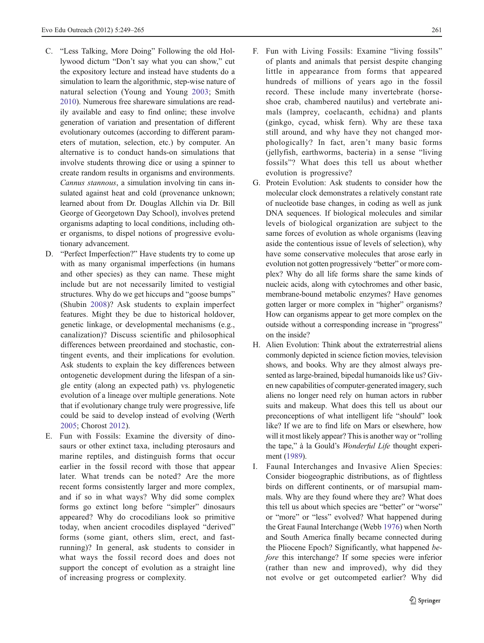- C. "Less Talking, More Doing" Following the old Hollywood dictum "Don't say what you can show," cut the expository lecture and instead have students do a simulation to learn the algorithmic, step-wise nature of natural selection (Young and Young [2003](#page-16-0); Smith [2010\)](#page-16-0). Numerous free shareware simulations are readily available and easy to find online; these involve generation of variation and presentation of different evolutionary outcomes (according to different parameters of mutation, selection, etc.) by computer. An alternative is to conduct hands-on simulations that involve students throwing dice or using a spinner to create random results in organisms and environments. Cannus stannous, a simulation involving tin cans insulated against heat and cold (provenance unknown; learned about from Dr. Douglas Allchin via Dr. Bill George of Georgetown Day School), involves pretend organisms adapting to local conditions, including other organisms, to dispel notions of progressive evolutionary advancement.
- D. "Perfect Imperfection?" Have students try to come up with as many organismal imperfections (in humans and other species) as they can name. These might include but are not necessarily limited to vestigial structures. Why do we get hiccups and "goose bumps" (Shubin [2008\)](#page-16-0)? Ask students to explain imperfect features. Might they be due to historical holdover, genetic linkage, or developmental mechanisms (e.g., canalization)? Discuss scientific and philosophical differences between preordained and stochastic, contingent events, and their implications for evolution. Ask students to explain the key differences between ontogenetic development during the lifespan of a single entity (along an expected path) vs. phylogenetic evolution of a lineage over multiple generations. Note that if evolutionary change truly were progressive, life could be said to develop instead of evolving (Werth [2005](#page-16-0); Chorost [2012](#page-14-0)).
- E. Fun with Fossils: Examine the diversity of dinosaurs or other extinct taxa, including pterosaurs and marine reptiles, and distinguish forms that occur earlier in the fossil record with those that appear later. What trends can be noted? Are the more recent forms consistently larger and more complex, and if so in what ways? Why did some complex forms go extinct long before "simpler" dinosaurs appeared? Why do crocodilians look so primitive today, when ancient crocodiles displayed "derived" forms (some giant, others slim, erect, and fastrunning)? In general, ask students to consider in what ways the fossil record does and does not support the concept of evolution as a straight line of increasing progress or complexity.
- F. Fun with Living Fossils: Examine "living fossils" of plants and animals that persist despite changing little in appearance from forms that appeared hundreds of millions of years ago in the fossil record. These include many invertebrate (horseshoe crab, chambered nautilus) and vertebrate animals (lamprey, coelacanth, echidna) and plants (ginkgo, cycad, whisk fern). Why are these taxa still around, and why have they not changed morphologically? In fact, aren't many basic forms (jellyfish, earthworms, bacteria) in a sense "living fossils"? What does this tell us about whether evolution is progressive?
- G. Protein Evolution: Ask students to consider how the molecular clock demonstrates a relatively constant rate of nucleotide base changes, in coding as well as junk DNA sequences. If biological molecules and similar levels of biological organization are subject to the same forces of evolution as whole organisms (leaving aside the contentious issue of levels of selection), why have some conservative molecules that arose early in evolution not gotten progressively "better" or more complex? Why do all life forms share the same kinds of nucleic acids, along with cytochromes and other basic, membrane-bound metabolic enzymes? Have genomes gotten larger or more complex in "higher" organisms? How can organisms appear to get more complex on the outside without a corresponding increase in "progress" on the inside?
- H. Alien Evolution: Think about the extraterrestrial aliens commonly depicted in science fiction movies, television shows, and books. Why are they almost always presented as large-brained, bipedal humanoids like us? Given new capabilities of computer-generated imagery, such aliens no longer need rely on human actors in rubber suits and makeup. What does this tell us about our preconceptions of what intelligent life "should" look like? If we are to find life on Mars or elsewhere, how will it most likely appear? This is another way or "rolling the tape," à la Gould's Wonderful Life thought experiment ([1989](#page-15-0)).
- I. Faunal Interchanges and Invasive Alien Species: Consider biogeographic distributions, as of flightless birds on different continents, or of marsupial mammals. Why are they found where they are? What does this tell us about which species are "better" or "worse" or "more" or "less" evolved? What happened during the Great Faunal Interchange (Webb [1976\)](#page-16-0) when North and South America finally became connected during the Pliocene Epoch? Significantly, what happened before this interchange? If some species were inferior (rather than new and improved), why did they not evolve or get outcompeted earlier? Why did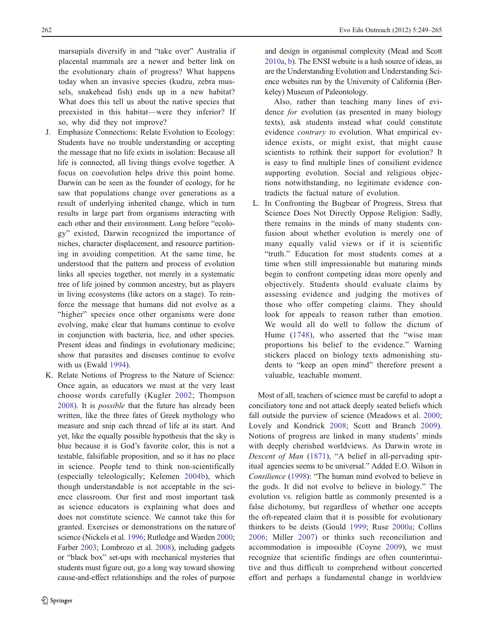marsupials diversify in and "take over" Australia if placental mammals are a newer and better link on the evolutionary chain of progress? What happens today when an invasive species (kudzu, zebra mussels, snakehead fish) ends up in a new habitat? What does this tell us about the native species that preexisted in this habitat—were they inferior? If so, why did they not improve?

- J. Emphasize Connections: Relate Evolution to Ecology: Students have no trouble understanding or accepting the message that no life exists in isolation: Because all life is connected, all living things evolve together. A focus on coevolution helps drive this point home. Darwin can be seen as the founder of ecology, for he saw that populations change over generations as a result of underlying inherited change, which in turn results in large part from organisms interacting with each other and their environment. Long before "ecology" existed, Darwin recognized the importance of niches, character displacement, and resource partitioning in avoiding competition. At the same time, he understood that the pattern and process of evolution links all species together, not merely in a systematic tree of life joined by common ancestry, but as players in living ecosystems (like actors on a stage). To reinforce the message that humans did not evolve as a "higher" species once other organisms were done evolving, make clear that humans continue to evolve in conjunction with bacteria, lice, and other species. Present ideas and findings in evolutionary medicine; show that parasites and diseases continue to evolve with us (Ewald [1994](#page-15-0)).
- K. Relate Notions of Progress to the Nature of Science: Once again, as educators we must at the very least choose words carefully (Kugler [2002;](#page-15-0) Thompson [2008\)](#page-16-0). It is possible that the future has already been written, like the three fates of Greek mythology who measure and snip each thread of life at its start. And yet, like the equally possible hypothesis that the sky is blue because it is God's favorite color, this is not a testable, falsifiable proposition, and so it has no place in science. People tend to think non-scientifically (especially teleologically; Kelemen [2004b\)](#page-15-0), which though understandable is not acceptable in the science classroom. Our first and most important task as science educators is explaining what does and does not constitute science. We cannot take this for granted. Exercises or demonstrations on the nature of science (Nickels et al. [1996](#page-15-0); Rutledge and Warden [2000](#page-16-0); Farber [2003;](#page-15-0) Lombrozo et al. [2008\)](#page-15-0), including gadgets or "black box" set-ups with mechanical mysteries that students must figure out, go a long way toward showing cause-and-effect relationships and the roles of purpose

and design in organismal complexity (Mead and Scott [2010a,](#page-15-0) [b](#page-15-0)). The ENSI website is a lush source of ideas, as are the Understanding Evolution and Understanding Science websites run by the University of California (Berkeley) Museum of Paleontology.

Also, rather than teaching many lines of evidence for evolution (as presented in many biology texts), ask students instead what could constitute evidence contrary to evolution. What empirical evidence exists, or might exist, that might cause scientists to rethink their support for evolution? It is easy to find multiple lines of consilient evidence supporting evolution. Social and religious objections notwithstanding, no legitimate evidence contradicts the factual nature of evolution.

L. In Confronting the Bugbear of Progress, Stress that Science Does Not Directly Oppose Religion: Sadly, there remains in the minds of many students confusion about whether evolution is merely one of many equally valid views or if it is scientific "truth." Education for most students comes at a time when still impressionable but maturing minds begin to confront competing ideas more openly and objectively. Students should evaluate claims by assessing evidence and judging the motives of those who offer competing claims. They should look for appeals to reason rather than emotion. We would all do well to follow the dictum of Hume [\(1748](#page-15-0)), who asserted that the "wise man proportions his belief to the evidence." Warning stickers placed on biology texts admonishing students to "keep an open mind" therefore present a valuable, teachable moment.

Most of all, teachers of science must be careful to adopt a conciliatory tone and not attack deeply seated beliefs which fall outside the purview of science (Meadows et al. [2000;](#page-15-0) Lovely and Kondrick [2008](#page-15-0); Scott and Branch [2009](#page-16-0)). Notions of progress are linked in many students' minds with deeply cherished worldviews. As Darwin wrote in Descent of Man [\(1871\)](#page-14-0), "A belief in all-pervading spiritual agencies seems to be universal." Added E.O. Wilson in Consilience [\(1998\)](#page-16-0): "The human mind evolved to believe in the gods. It did not evolve to believe in biology." The evolution vs. religion battle as commonly presented is a false dichotomy, but regardless of whether one accepts the oft-repeated claim that it is possible for evolutionary thinkers to be deists (Gould [1999;](#page-15-0) Ruse [2000a;](#page-16-0) Collins [2006;](#page-14-0) Miller [2007\)](#page-15-0) or thinks such reconciliation and accommodation is impossible (Coyne [2009](#page-14-0)), we must recognize that scientific findings are often counterintuitive and thus difficult to comprehend without concerted effort and perhaps a fundamental change in worldview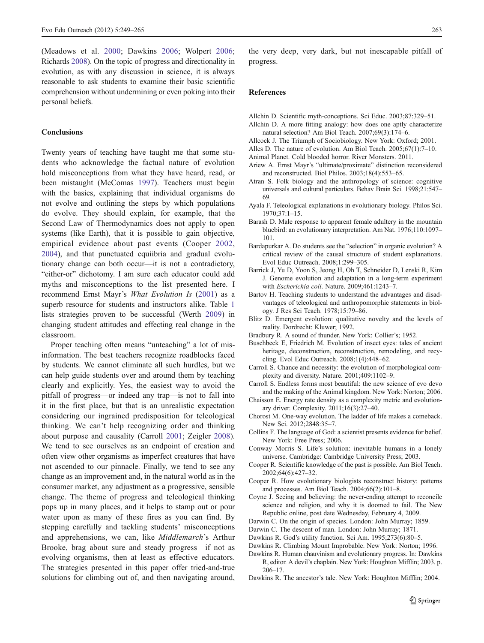<span id="page-14-0"></span>(Meadows et al. [2000;](#page-15-0) Dawkins [2006](#page-15-0); Wolpert [2006](#page-16-0); Richards [2008](#page-16-0)). On the topic of progress and directionality in evolution, as with any discussion in science, it is always reasonable to ask students to examine their basic scientific comprehension without undermining or even poking into their personal beliefs.

## Conclusions

Twenty years of teaching have taught me that some students who acknowledge the factual nature of evolution hold misconceptions from what they have heard, read, or been mistaught (McComas [1997](#page-15-0)). Teachers must begin with the basics, explaining that individual organisms do not evolve and outlining the steps by which populations do evolve. They should explain, for example, that the Second Law of Thermodynamics does not apply to open systems (like Earth), that it is possible to gain objective, empirical evidence about past events (Cooper 2002, 2004), and that punctuated equiibria and gradual evolutionary change can both occur—it is not a contradictory, "either-or" dichotomy. I am sure each educator could add myths and misconceptions to the list presented here. I recommend Ernst Mayr's What Evolution Is [\(2001](#page-15-0)) as a superb resource for students and instructors alike. Table [1](#page-11-0) lists strategies proven to be successful (Werth [2009](#page-16-0)) in changing student attitudes and effecting real change in the classroom.

Proper teaching often means "unteaching" a lot of misinformation. The best teachers recognize roadblocks faced by students. We cannot eliminate all such hurdles, but we can help guide students over and around them by teaching clearly and explicitly. Yes, the easiest way to avoid the pitfall of progress—or indeed any trap—is not to fall into it in the first place, but that is an unrealistic expectation considering our ingrained predisposition for teleological thinking. We can't help recognizing order and thinking about purpose and causality (Carroll 2001; Zeigler [2008](#page-16-0)). We tend to see ourselves as an endpoint of creation and often view other organisms as imperfect creatures that have not ascended to our pinnacle. Finally, we tend to see any change as an improvement and, in the natural world as in the consumer market, any adjustment as a progressive, sensible change. The theme of progress and teleological thinking pops up in many places, and it helps to stamp out or pour water upon as many of these fires as you can find. By stepping carefully and tackling students' misconceptions and apprehensions, we can, like Middlemarch's Arthur Brooke, brag about sure and steady progress—if not as evolving organisms, then at least as effective educators. The strategies presented in this paper offer tried-and-true solutions for climbing out of, and then navigating around,

the very deep, very dark, but not inescapable pitfall of progress.

## References

- Allchin D. Scientific myth-conceptions. Sci Educ. 2003;87:329–51.
- Allchin D. A more fitting analogy: how does one aptly characterize natural selection? Am Biol Teach. 2007;69(3):174–6.
- Allcock J. The Triumph of Sociobiology. New York: Oxford; 2001.
- Alles D. The nature of evolution. Am Biol Teach. 2005;67(1):7–10.
- Animal Planet. Cold blooded horror. River Monsters. 2011.
- Ariew A. Ernst Mayr's "ultimate/proximate" distinction reconsidered and reconstructed. Biol Philos. 2003;18(4):553–65.
- Atran S. Folk biology and the anthropology of science: cognitive universals and cultural particulars. Behav Brain Sci. 1998;21:547– 69.
- Ayala F. Teleological explanations in evolutionary biology. Philos Sci. 1970;37:1–15.
- Barash D. Male response to apparent female adultery in the mountain bluebird: an evolutionary interpretation. Am Nat. 1976;110:1097– 101.
- Bardapurkar A. Do students see the "selection" in organic evolution? A critical review of the causal structure of student explanations. Evol Educ Outreach. 2008;1:299–305.
- Barrick J, Yu D, Yoon S, Jeong H, Oh T, Schneider D, Lenski R, Kim J. Genome evolution and adaptation in a long-term experiment with Escherichia coli. Nature. 2009;461:1243–7.
- Bartov H. Teaching students to understand the advantages and disadvantages of teleological and anthropomorphic statements in biology. J Res Sci Teach. 1978;15:79–86.
- Blitz D. Emergent evolution: qualitative novelty and the levels of reality. Dordrecht: Kluwer; 1992.
- Bradbury R. A sound of thunder. New York: Collier's; 1952.
- Buschbeck E, Friedrich M. Evolution of insect eyes: tales of ancient heritage, deconstruction, reconstruction, remodeling, and recycling. Evol Educ Outreach. 2008;1(4):448–62.
- Carroll S. Chance and necessity: the evolution of morphological complexity and diversity. Nature. 2001;409:1102–9.
- Carroll S. Endless forms most beautiful: the new science of evo devo and the making of the Animal kingdom. New York: Norton; 2006.
- Chaisson E. Energy rate density as a complexity metric and evolutionary driver. Complexity. 2011;16(3):27–40.
- Chorost M. One-way evolution. The ladder of life makes a comeback. New Sci. 2012;2848:35–7.
- Collins F. The language of God: a scientist presents evidence for belief. New York: Free Press; 2006.
- Conway Morris S. Life's solution: inevitable humans in a lonely universe. Cambridge: Cambridge University Press; 2003.
- Cooper R. Scientific knowledge of the past is possible. Am Biol Teach. 2002;64(6):427–32.
- Cooper R. How evolutionary biologists reconstruct history: patterns and processes. Am Biol Teach. 2004;66(2):101–8.
- Coyne J. Seeing and believing: the never-ending attempt to reconcile science and religion, and why it is doomed to fail. The New Republic online, post date Wednesday, February 4, 2009.
- Darwin C. On the origin of species. London: John Murray; 1859.
- Darwin C. The descent of man. London: John Murray; 1871.
- Dawkins R. God's utility function. Sci Am. 1995;273(6):80–5.
- Dawkins R. Climbing Mount Improbable. New York: Norton; 1996.
- Dawkins R. Human chauvinism and evolutionary progress. In: Dawkins R, editor. A devil's chaplain. New York: Houghton Mifflin; 2003. p. 206–17.
- Dawkins R. The ancestor's tale. New York: Houghton Mifflin; 2004.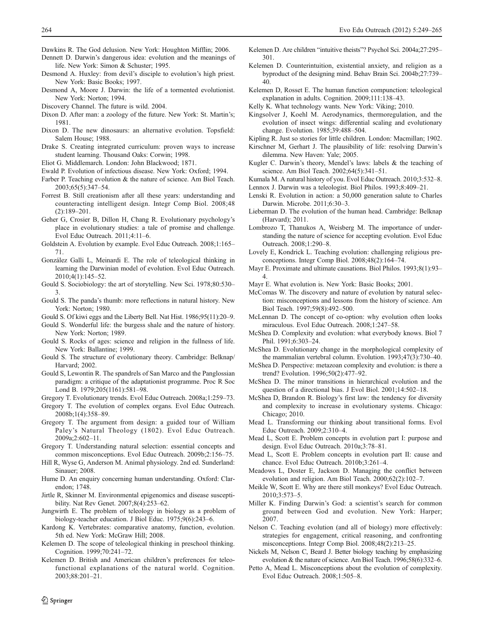- <span id="page-15-0"></span>Dawkins R. The God delusion. New York: Houghton Mifflin; 2006.
- Dennett D. Darwin's dangerous idea: evolution and the meanings of life. New York: Simon & Schuster; 1995.
- Desmond A. Huxley: from devil's disciple to evolution's high priest. New York: Basic Books; 1997.
- Desmond A, Moore J. Darwin: the life of a tormented evolutionist. New York: Norton; 1994.
- Discovery Channel. The future is wild. 2004.
- Dixon D. After man: a zoology of the future. New York: St. Martin's; 1981.
- Dixon D. The new dinosaurs: an alternative evolution. Topsfield: Salem House; 1988.
- Drake S. Creating integrated curriculum: proven ways to increase student learning. Thousand Oaks: Corwin; 1998.
- Eliot G. Middlemarch. London: John Blackwood; 1871.
- Ewald P. Evolution of infectious disease. New York: Oxford; 1994.
- Farber P. Teaching evolution & the nature of science. Am Biol Teach. 2003;65(5):347–54.
- Forrest B. Still creationism after all these years: understanding and counteracting intelligent design. Integr Comp Biol. 2008;48 (2):189–201.
- Geher G, Crosier B, Dillon H, Chang R. Evolutionary psychology's place in evolutionary studies: a tale of promise and challenge. Evol Educ Outreach. 2011;4:11–6.
- Goldstein A. Evolution by example. Evol Educ Outreach. 2008;1:165– 71.
- González Galli L, Meinardi E. The role of teleological thinking in learning the Darwinian model of evolution. Evol Educ Outreach. 2010;4(1):145–52.
- Gould S. Sociobiology: the art of storytelling. New Sci. 1978;80:530– 3.
- Gould S. The panda's thumb: more reflections in natural history. New York: Norton; 1980.
- Gould S. Of kiwi eggs and the Liberty Bell. Nat Hist. 1986;95(11):20–9.
- Gould S. Wonderful life: the burgess shale and the nature of history. New York: Norton; 1989.
- Gould S. Rocks of ages: science and religion in the fullness of life. New York: Ballantine; 1999.
- Gould S. The structure of evolutionary theory. Cambridge: Belknap/ Harvard; 2002.
- Gould S, Lewontin R. The spandrels of San Marco and the Panglossian paradigm: a critique of the adaptationist programme. Proc R Soc Lond B. 1979;205(1161):581–98.
- Gregory T. Evolutionary trends. Evol Educ Outreach. 2008a;1:259–73.
- Gregory T. The evolution of complex organs. Evol Educ Outreach. 2008b;1(4):358–89.
- Gregory T. The argument from design: a guided tour of William Paley's Natural Theology (1802). Evol Educ Outreach. 2009a;2:602–11.
- Gregory T. Understanding natural selection: essential concepts and common misconceptions. Evol Educ Outreach. 2009b;2:156–75.
- Hill R, Wyse G, Anderson M. Animal physiology. 2nd ed. Sunderland: Sinauer; 2008.
- Hume D. An enquiry concerning human understanding. Oxford: Clarendon; 1748.
- Jirtle R, Skinner M. Environmental epigenomics and disease susceptibility. Nat Rev Genet. 2007;8(4):253–62.
- Jungwirth E. The problem of teleology in biology as a problem of biology-teacher education. J Biol Educ. 1975;9(6):243–6.
- Kardong K. Vertebrates: comparative anatomy, function, evolution. 5th ed. New York: McGraw Hill; 2008.
- Kelemen D. The scope of teleological thinking in preschool thinking. Cognition. 1999;70:241–72.
- Kelemen D. British and American children's preferences for teleofunctional explanations of the natural world. Cognition. 2003;88:201–21.
- Kelemen D. Are children "intuitive theists"? Psychol Sci. 2004a;27:295– 301.
- Kelemen D. Counterintuition, existential anxiety, and religion as a byproduct of the designing mind. Behav Brain Sci. 2004b;27:739– 40.
- Kelemen D, Rosset E. The human function compunction: teleological explanation in adults. Cognition. 2009;111:138–43.
- Kelly K. What technology wants. New York: Viking; 2010.
- Kingsolver J, Koehl M. Aerodynamics, thermoregulation, and the evolution of insect wings: differential scaling and evolutionary change. Evolution. 1985;39:488–504.
- Kipling R. Just so stories for little children. London: Macmillan; 1902.
- Kirschner M, Gerhart J. The plausibility of life: resolving Darwin's dilemma. New Haven: Yale; 2005.
- Kugler C. Darwin's theory, Mendel's laws: labels & the teaching of science. Am Biol Teach. 2002;64(5):341–51.
- Kumala M. A natural history of you. Evol Educ Outreach. 2010;3:532–8.
- Lennox J. Darwin was a teleologist. Biol Philos. 1993;8:409–21.
- Lenski R. Evolution in action: a 50,000 generation salute to Charles Darwin. Microbe. 2011;6:30–3.
- Lieberman D. The evolution of the human head. Cambridge: Belknap (Harvard); 2011.
- Lombrozo T, Thanukos A, Weisberg M. The importance of understanding the nature of science for accepting evolution. Evol Educ Outreach. 2008;1:290–8.
- Lovely E, Kondrick L. Teaching evolution: challenging religious preconceptions. Integr Comp Biol. 2008;48(2):164–74.
- Mayr E. Proximate and ultimate causations. Biol Philos. 1993;8(1):93– 4.
- Mayr E. What evolution is. New York: Basic Books; 2001.
- McComas W. The discovery and nature of evolution by natural selection: misconceptions and lessons from the history of science. Am Biol Teach. 1997;59(8):492–500.
- McLennan D. The concept of co-option: why evolution often looks miraculous. Evol Educ Outreach. 2008;1:247–58.
- McShea D. Complexity and evolution: what everybody knows. Biol 7 Phil. 1991;6:303–24.
- McShea D. Evolutionary change in the morphological complexity of the mammalian vertebral column. Evolution. 1993;47(3):730–40.
- McShea D. Perspective: metazoan complexity and evolution: is there a trend? Evolution. 1996;50(2):477–92.
- McShea D. The minor transitions in hierarchical evolution and the question of a directional bias. J Evol Biol. 2001;14:502–18.
- McShea D, Brandon R. Biology's first law: the tendency for diversity and complexity to increase in evolutionary systems. Chicago: Chicago; 2010.
- Mead L. Transforming our thinking about transitional forms. Evol Educ Outreach. 2009;2:310–4.
- Mead L, Scott E. Problem concepts in evolution part I: purpose and design. Evol Educ Outreach. 2010a;3:78–81.
- Mead L, Scott E. Problem concepts in evolution part II: cause and chance. Evol Educ Outreach. 2010b;3:261–4.
- Meadows L, Doster E, Jackson D. Managing the conflict between evolution and religion. Am Biol Teach. 2000;62(2):102–7.
- Meikle W, Scott E. Why are there still monkeys? Evol Educ Outreach. 2010;3:573–5.
- Miller K. Finding Darwin's God: a scientist's search for common ground between God and evolution. New York: Harper; 2007.
- Nelson C. Teaching evolution (and all of biology) more effectively: strategies for engagement, critical reasoning, and confronting misconceptions. Integr Comp Biol. 2008;48(2):213–25.
- Nickels M, Nelson C, Beard J. Better biology teaching by emphasizing evolution & the nature of science. Am Biol Teach. 1996;58(6):332–6.
- Petto A, Mead L. Misconceptions about the evolution of complexity. Evol Educ Outreach. 2008;1:505–8.